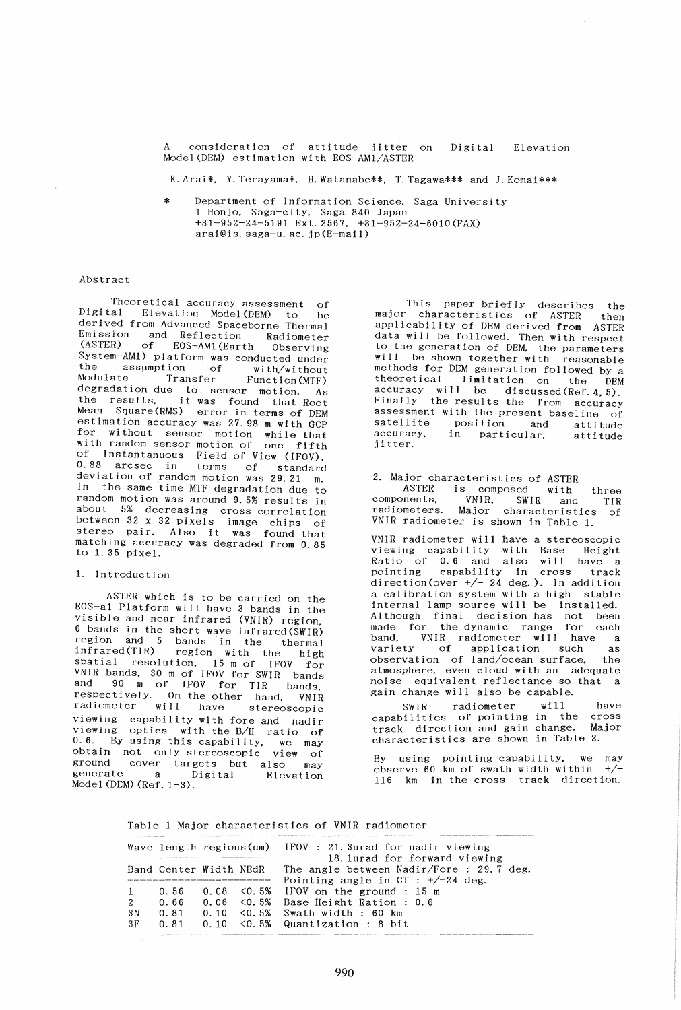consideration of attitude jitter on Model(DEM) estimation with EOS-AMI/ASTER Digital Elevation

K.Arai\*. Y.Terayama\*. ILWatanabe\*\*. T.Tagawa\*\*\* and J.Komai\*\*\*

Department of Information Science, Saga University 1 Honjo. Saga-city, Saga 840 Japan +81-952-24-5191 Ext. 2567. +81-952-24-6010 (FAX) arai@is. saga-u. ac. jp(E-mail)

## Abstract

Theoretical accuracy assessment of<br>Digital Elevation Model(DEM) to be Elevation Model(DEM) to be derived from Advanced Spaceborne Thermal Emission and Reflection Radiometer<br>(ASTER) of EOS-AM1(Earth Observing of EOS-AM1(Earth Observing System-AM1) platform was conducted under<br>the assumption of with/without the assumption of<br>Modulate Transfer Function (MTF) degradation due to sensor motion. As<br>the results, it was found that Root Mean Square (RMS) error in terms of DEM estimation accuracy was 27.98 m with GCP for without sensor motion while that<br>with random sensor motion of one fifth with random sensor motion while that of Instantanuous Field of View (IFOV). 0.88 arcsec in terms of standard deviation of random motion was 29.21 m. In the same time MTF degradation due to random motion was around 9.5% results in about 5% decreasing cross correlation between 32 x 32 pixels image chips of stereo pair. Also it was found that matching accuracy was degraded from 0.85 to 1. 35 pixel.

#### 1. Introduction

ASTER which is to be carried on the EOS-al Platform will have 3 bands in the visible and near infrared (VNIR) region. 6 bands in the short wave infrared(SWIR) region and 5 bands in the thermal infrared(TIR) region with the high spatial resolution, 15 m of IFOV for VNIR bands, 30 m of IFOV for SWIR bands and 90 m of IFOV for TIR bands, respectively. On the other hand. VNIR radiometer will have stereoscopic viewing capability with fore and nadir viewing optics with the B/H ratio of 0.6. By using this capabflity. we may obtain not only stereoscopic view of ground cover targets but also may generate a Digital Elevation Model (DEM) (Ref. 1-3).

This paper briefly describes the major characteristics of ASTER then applicability of DEM derived from ASTER data will be followed. Then with respect to the generation of DEM. the parameters will be shown together with reasonable methods for DEM generation followed by a<br>theoretical limitation on the DEM limitation on the accuracy will be discussed(Ref.  $4, 5$ ). Finally the results the from accuracy assessment with the present baseline of satellite position and attitude satellite position and attitude<br>accuracy, in particular, attitude jitter.

2. Major characteristics of ASTER ASTER is composed with components. VNIR. SWIR and radiometers. Major characteristics three TIR VNIR radiometer is shown in Table 1. of

VNIR radiometer will have a stereoscopic viewing capability with Base Height Ratio of 0.6 and also will have a pointing capability in cross track pointing capability in cross track<br>direction(over  $+/- 24$  deg.). In addition a calibration system with a high stable internal lamp source will be installed. Although final decision has not been<br>made for the-dynamic range for each made for the dynamic range for each band. VNIR radiometer will have a variety of application such as observation of land/ocean surface. the atmosphere, even cloud with an adequate noise equivalent reflectance so that a gain change will also be capable.

SWIR radiometer will have capabilities of pointing in the cross<br>track direction and gain change. Major track direction and gain change. characteristics are shown in Table 2.

By using pointing capability. we may observe 60 km of swath width within +/-  $116$  km in the cross track direction.

Table 1 Major characteristics of VNIR radiometer

|                                         |      |                        | Wave length regions(um) IFOV : 21.3urad for nadir viewing<br>18.1urad for forward viewing                                                                                       |
|-----------------------------------------|------|------------------------|---------------------------------------------------------------------------------------------------------------------------------------------------------------------------------|
|                                         |      | Band Center Width NEdR | The angle between Nadir/Fore : 29.7 deg.<br>Pointing angle in $CT : +/-24$ deg.                                                                                                 |
| $\mathbf{1}$<br>$2^{\circ}$<br>3N<br>3F | 0.81 |                        | 0.56 0.08 $\leq$ 0.5% IFOV on the ground : 15 m<br>0.66 0.06 < 0.5% Base Height Ration : 0.6<br>$0.10 \le 0.5\%$ Swath width : 60 km<br>$0.81$ 0.10 < 0.5% Quantization : 8 bit |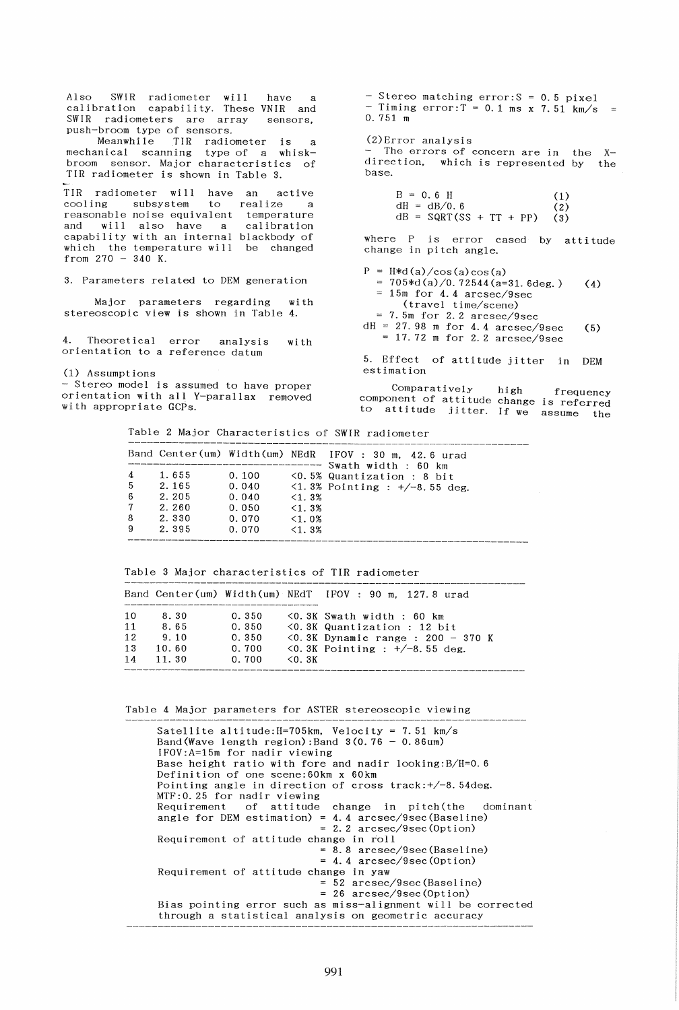Also SWIR radiometer will have a calibration capability. These VNIR and SWIR radiometers are array sensors, push-broom type of sensors.

Meanwhile TIR radiometer is a (2)Error analysis mechanical scanning type of a whiskbroom sensor. Major characteristics of TIR radiometer is shown in Table 3.

TIR radiometer will have cooling subsystem to realize a B = O. 6 H (1) active reasonable noise equivalent temperature<br>
and will also have a calibration  $dB = SQRT(SS + TT + PP)$  (3) capability with an internal blackbody of which the temperature will be changed from  $270 - 340$  K. temperature calibration

3. Parameters related to DEM generation

Major parameters regarding with stereoscopic view is shown in Table 4.

wi th 4. Theoretical error analysis with  $= 17.72$  m for 2.2 arcsec/9sec 4. Theoretical error analysis<br>orientation to a reference datum

(1) Assumpt ions

- Stereo model is assumed to have proper orientation with all V-parallax removed with appropriate GCPs.

 $-$  Stereo matching error:  $S = 0.5$  pixel - Timing  $error:T = 0.1$  ms x 7.51 km/s O. 751 m

 $(2)$ Error analysis<br>- The errors of concern are in the Xdirection, which is represented by the base.

dH = dB/0.6 (2)<br>dB = SQRT(SS + TT + PP) (3)

where P is error cased by attitude change in pi tch angle.

 $P = H*d(a)/cos(a)cos(a)$  $dH = 27.98$  m for 4.4 arcsec/9sec (5)  $= 705* d(a)/0.72544(a=31.6deg.)$  (4)  $= 15$ m for 4.4 arcsec/9sec (travel time/scene)  $= 7.5m$  for 2.2 arcsec/9sec

5. Effect of attitude jitter in DEM estimation

Comparatively high frequency component of attitude change is referred to attitude jitter. If we assume the

Table 2 Major Characteristics of SWIR radiometer

|                                            |                                                    |                                                    |                                                  | Band Center(um) Width(um) NEdR IFOV: 30 m, 42.6 urad                                                  |
|--------------------------------------------|----------------------------------------------------|----------------------------------------------------|--------------------------------------------------|-------------------------------------------------------------------------------------------------------|
| 4<br>-5<br>-6<br>7 <sup>7</sup><br>8<br>-9 | 1.655<br>2.165<br>2.205<br>2.260<br>2.330<br>2.395 | 0.100<br>0.040<br>0.040<br>0.050<br>0.070<br>0.070 | $<1.3\%$<br>$<1.3\%$<br>$<1.0\%$<br>$\leq 1.3\%$ | Swath width : 60 km<br>$\leq 0.5\%$ Quantization : 8 bit<br>$\langle 1.3\%$ Pointing : $+/-8.55$ deg. |
|                                            |                                                    |                                                    |                                                  |                                                                                                       |

Table 3 Major characteristics of TIR radiometer

|                            |                                        |                                           |          | Band Center(um) Width(um) NEdT  IFOV : 90 m, 127.8 urad                                                                                            |
|----------------------------|----------------------------------------|-------------------------------------------|----------|----------------------------------------------------------------------------------------------------------------------------------------------------|
| 10<br>11<br>12<br>13<br>14 | 8.30<br>8.65<br>9.10<br>10.60<br>11.30 | 0.350<br>0.350<br>0.350<br>0.700<br>0.700 | $<$ 0.3K | $\leq 0.3K$ Swath width : 60 km<br><0.3K Quantization : 12 bit<br>$\leq 0.3K$ Dynamic range : 200 - 370 K<br>$\leq 0.3K$ Pointing : $+/-8.55$ deg. |

Table 4 Major parameters for ASTER stereoscopic viewing

Satellite altitude: H=705km. Velocity = 7.51 km/s Band(Wave length region): Band  $3(0.76 - 0.86 \text{um})$ IFOV:A=15m for nadir viewing Base height ratio with fore and nadir 100king:B/H=0.6 Definition of one scene:60km x 60km Pointing angle in direction of cross track:+/-8.54deg. MTF:0.25 for nadir viewing Requirement of attitude angle for DEM estimation) = 4.4 arcsec/9sec(Baseline) of attitude change in pitch(the dominant 2.2 arcsec/9sec(Option) Requirement of attitude change in roll = 8.8 arcsec/9sec(Baseline) = 4.4 arcsec/9sec(Option) Requirement of attitude change in yaw 52 arcsec/9sec(Baseline) = 26 arcsec/9sec(Option) Bias pointing error such as miss-alignment will be corrected through a statistical analysis on geometric accuracy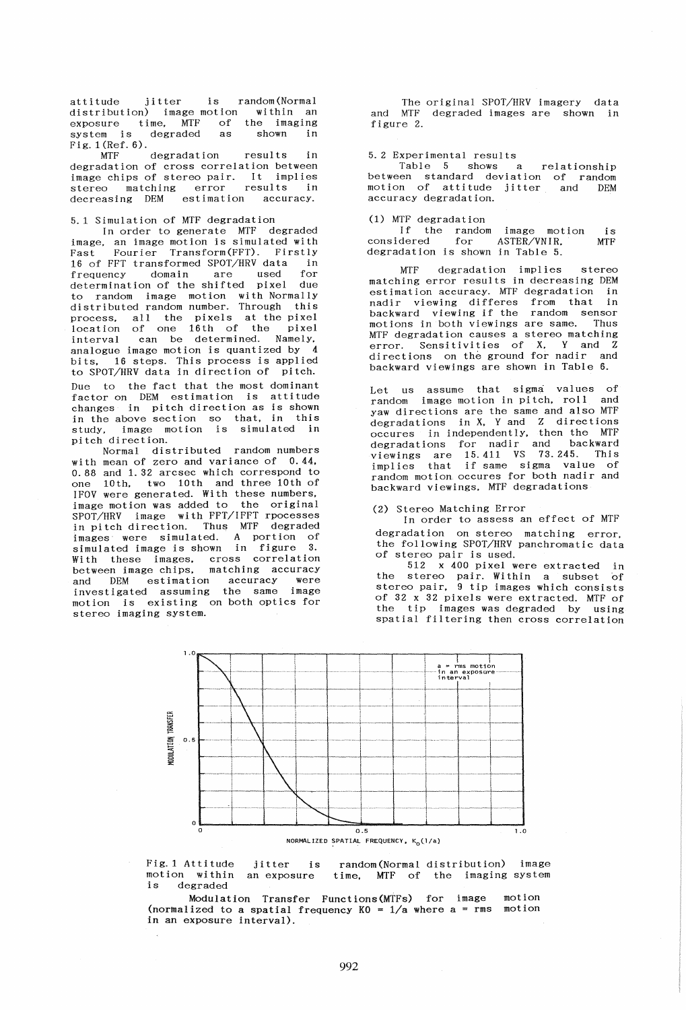attitude jitter is random (Normal distribution) image motion within an exposure time, MTF of the imaging system is degraded as shown in system is degraded :<br>Fig. 1 (Ref. 6).<br>MTF degradation

MTF degradation results in degradation of cross correlation between image chips of stereo pair. It implies stereo matching error results in decreasing DEM estimation accuracy.

### 5.1 Simulation of MTF degradation

In order to generate MTF degraded image. an image motion is simulated with Fourier Transform(FFT). Firstly 16 of FFT transformed SPOT/HRV data in frequency domain are used for determination of the shifted pixel due to random image motion with NormallY distributed random number. Through this process, all the pixels at the pixel location of one 16th of the pixel interval can be determined. Namely, interval can be determined. Namely,<br>analogue image motion is quantized by 4 bits, 16 steps. This process is applied to SPOT/HRV data in direction of pitch.

Due to the fact that the most dominant factor on DEM estimation is attitude changes in pitch direction as is shown in the above section so that, in this study, image motion is simulated in pi tch direction.

Normal distributed random numbers with mean of zero and variance of 0.44. 0.88 and 1.32 arcsec which correspond to one 10th. two 10th and three 10th of IFOV were generated. With these numbers. image motion was added to the original SPOT/HRV image with FFT/IFFT rpocesses in pitch direction. Thus MTF degraded images were simulated. A portion of simulated image is shown in figure 3. With these images, cross correlation between image chips. matching accuracy and DEM estimation accuracy were investigated assuming the same image motion is existing on both optics for stereo imaging system.

The original SPOT/HRV imagery data and MTF degraded images are shown in figure 2.

#### 5.2 Experimental results

Table 5 shows a relationship between standard deviation of random motion of attitude jitter and DEM accuracy degradation.

# (1) MTF degradation

If the random image motion is considered for ASTER/VNIR, MTF degradation is shown in Table 5.

MTF degradation implies stereo matching error results in decreasing DEM estimation accuracy. MTF degradation in nadir viewing differes from that in backward viewing if the random sensor motions in both viewings are same. Thus MTF degradation causes a stereo matching error. Sensitivities of X. Y and Z directions on the ground for nadir and backward viewings are shown in Table 6.

Let us assume that sigma values of random image motion in pitch. roll and yaw directions are the same and also MTF degradations in X. Y and Z directions occures in independently. then the MTF degradations for nadir and backward viewings are 15.411 VS 73.245. This implies that if same sigma value of random motion occures for both nadir and backward viewings. MTF degradations

### (2) Stereo Matching Error

In order to assess an effect of MTF degradation on stereo matching error the following SPOT/HRV panchromatic data<br>of stereo pair is used.

512 x 400 pixel were extracted in the stereo pair. Within a subset of stereo pair. 9 tip images which consists of 32 x 32 pixels were extracted. MTF of the tip images was degraded by using spatial filtering then cross correlation



Fig.l Attitude motion within an exposure is degraded jitter is random(Normal distribution) image time, MTF of the imaging system

Modulation Transfer Functions(MTFs) for image motion (normalized to a spatial frequency  $K0 = 1/a$  where a = rms motion in an exposure interval).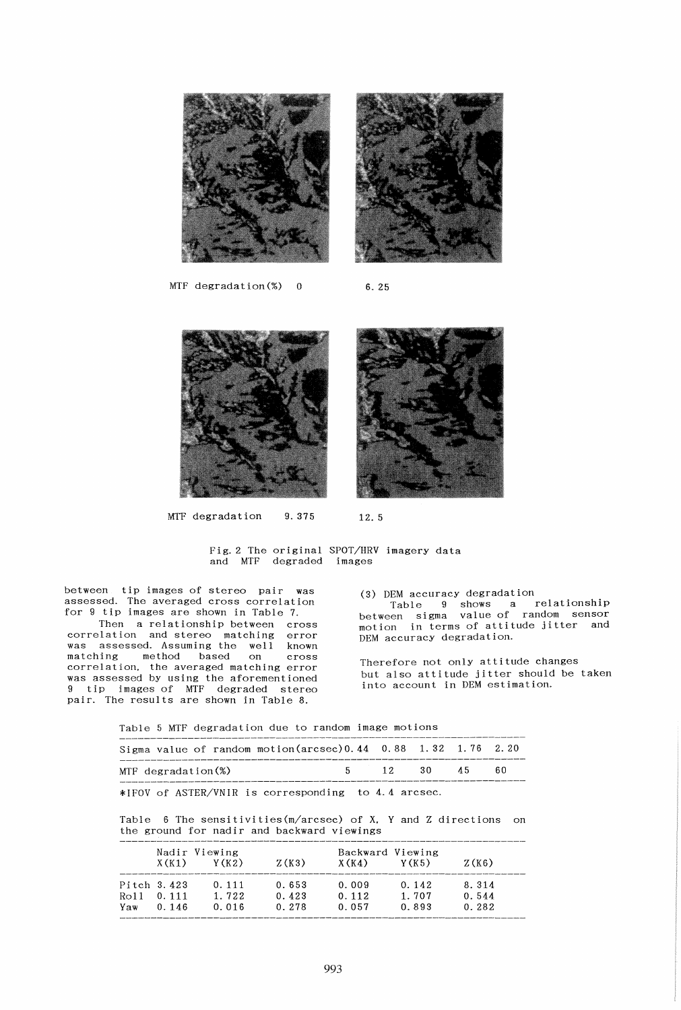

MTF degradation $(\%)$  0 6.25



MTF degradation  $9.375$  12.5

Fig. 2 The original SPOT/HRV imagery data and MTF degraded images

between tip images of stereo pair was assessed. The averaged cross correlation for 9 tip images are shown in Table 7.

Then a relationship between cross correlation and stereo matching error was assessed. Assuming the well known matching method based on cross correlation. the averaged matching error was assessed by using the aforementioned 9 tip images of MTF degraded stereo pair. The results are shown in Table 8.

(3) DEM accuracy degradation Table 9 shows a relationship between sigma value of random sensor motion in terms of attitude jitter and DEM accuracy degradation.

Therefore not only attitude changes but also attitude jitter should be taken into account in DEM estimation.

Table 5 MTF degradation due to random image motions

|                    |  |  | Sigma value of random motion(arcsec) $0.44$ 0.88 1.32 1.76 2.20 |            |  |  |     |  |
|--------------------|--|--|-----------------------------------------------------------------|------------|--|--|-----|--|
| MTF degradation(%) |  |  |                                                                 | 5 12 30 45 |  |  | -60 |  |

\*IFOV of ASTER/VNIR is corresponding to 4.4 arc sec.

Table 6 The sensitivities(m/arcsec) of X. Y and Z directions on the ground for nadir and backward viewings

|      |             | Nadir Viewing |       |       |        |       |
|------|-------------|---------------|-------|-------|--------|-------|
|      | X(K1)       | Y (K2)        | Z(K3) | X(K4) | Y (K5) | Z(K6) |
|      | Pitch 3.423 | 0.111         | 0.653 | 0.009 | 0.142  | 8.314 |
| Ro11 | 0.111       | 1.722         | 0.423 | 0.112 | 1.707  | 0.544 |
| Yaw  | 0.146       | 0.016         | 0.278 | 0.057 | 0.893  | 0.282 |